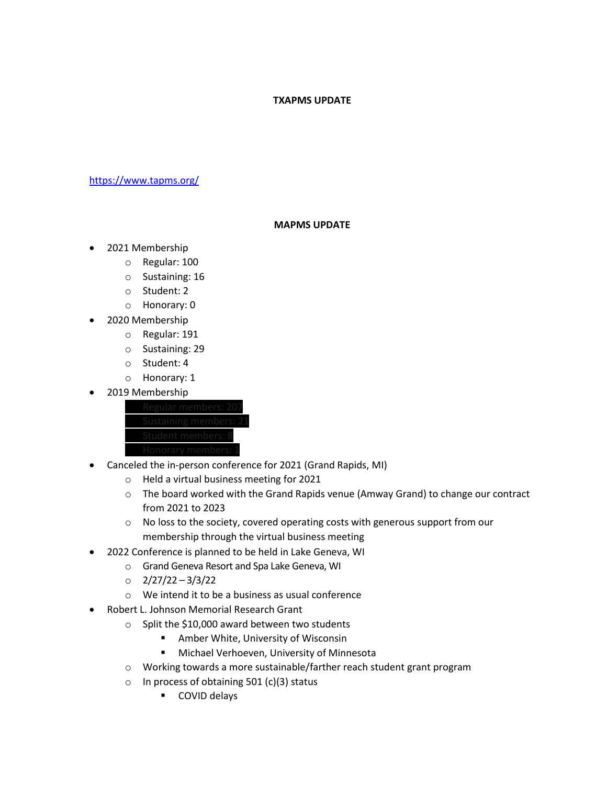## **TXAPMS UPDATE**

[https://www.tapms.org/](https://secure-web.cisco.com/1zfRLYJ2G8ixzmLzME7MVVZKChrgT-I4NbX2St0dO0CtFfKSLHWI4501aqhfoyLePz9lnIjjjb_VGDdHPzvkgeVKGLvsNVL1zJesRR7KcApw4oXBw2Xk6iIYxZV1O10Cq6vRj4j0t_9RDdNX2fPY-kahgmRe8C8TIUpWGrqIO6qPii0UkLQDyVSSs8XdZvJyJSv98Vh6COwL4TacIDpQZAaAUh9NO4n1GYUmGi3DTPdFRTbG_-yccNPZ96NjglxkUlC_opMmeGLRqnvRMsYDowOYHJzoZRAuS1XM2Hh25ykTG2q547BpId5RNdjW1IMF1680tRk-sxcyJnrRZbNogTeAb-NSKSSWJHtr1RyhXv_Q/https%3A%2F%2Furldefense.com%2Fv3%2F__https%3A%2Fsecure-web.cisco.com%2F173OX8YVYQ6Y0j3vO-mtbmKAg8LTHNFnAydxtClsZdikGxfqfkbLTequF5Z9MGZx3WgWAldJGWiV5pP2VjkB13LsaWCA3jHe-D3FLJD9CirWY1gpEaAWJ9_ZvYGQRJMSfeToACVS0NYCfEgC9aIOQZ7Hq-XlGtPOXRzUI8krte8t1nsSJDfY3lJY0bgaKBxHpPWBRsiXSzGHun3oNrMBgxGDwrbFHNxY4LdDfbW8KepRD3w3AeQzCDnUfPHhc5YNgc-e72gMgVOKm6JftHdk2fh9MFUEqXU5k5xR6JFkwwd5Eq2tqqpEUEk5b2WdvOQ0Qzj3zuVT2nGUKxWK8mOj8IA%2Fhttps%2A3A%2A2F%2A2Fwww.tapms.org%2A2F__%3BJSUlJQ%21%21KwNVnqRv%21U9AIatCs0_ySH5ckN_WJzZ1oP-5aT9GLjhfBn4o-1yXdTyIVtS-itcAehsynkJhGLSmu6AIrIrnNaQ%24)

## **MAPMS UPDATE**

- 2021 Membership
	- o Regular: 100
	- o Sustaining: 16
	- o Student: 2
	- o Honorary: 0
- 2020 Membership
	- o Regular: 191
	- o Sustaining: 29
	- o Student: 4
	- o Honorary: 1
- 2019 Membership



- Canceled the in-person conference for 2021 (Grand Rapids, MI)
	- o Held a virtual business meeting for 2021
	- $\circ$  The board worked with the Grand Rapids venue (Amway Grand) to change our contract from 2021 to 2023
	- o No loss to the society, covered operating costs with generous support from our membership through the virtual business meeting
- 2022 Conference is planned to be held in Lake Geneva, WI
	- o Grand Geneva Resort and Spa Lake Geneva, WI
	- o 2/27/22 3/3/22
	- o We intend it to be a business as usual conference
- Robert L. Johnson Memorial Research Grant
	- o Split the \$10,000 award between two students
		- Amber White, University of Wisconsin
		- Michael Verhoeven, University of Minnesota
	- o Working towards a more sustainable/farther reach student grant program
	- $\circ$  In process of obtaining 501 (c)(3) status
		- COVID delays